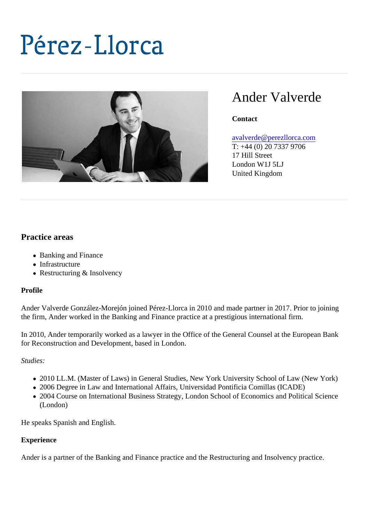# Ander Valverde

**Contact** 

## [avalverde@perezllorca.co](mailto:avalverde@perezllorca.com)m

T: +44 (0) 20 7337 9706 17 Hill Street London W1J 5LJ United Kingdom

## Practice areas

- Banking and Finance
- Infrastructure
- Restructuring & Insolvency

## Profile

Ander Valverde González-Morejón joined Pérez-Llorca in 2010 and made partner in 2017. Prior to joining the firm, Ander worked in the Banking and Finance practice at a prestigious international firm.

In 2010, Ander temporarily worked as a lawyer in the Office of the General Counsel at the European Bank for Reconstruction and Development, based in London.

## Studies:

- 2010 LL.M. (Master of Laws) in General Studies, New York University School of Law (New York)
- 2006 Degree in Law and International Affairs, Universidad Pontificia Comillas (ICADE)
- 2004 Course on International Business Strategy, London School of Economics and Political Science (London)

He speaks Spanish and English.

## **Experience**

Ander is a partner of the Banking and Finance practice and the Restructuring and Insolvency practice.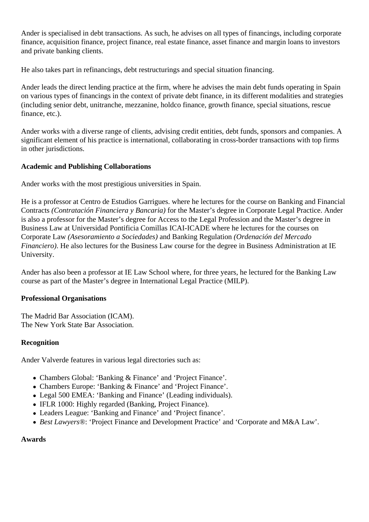Ander is specialised in debt transactions. As such, he advises on all types of financings, including corporate finance, acquisition finance, project finance, real estate finance, asset finance and margin loans to investors and private banking clients.

He also takes part in refinancings, debt restructurings and special situation financing.

Ander leads the direct lending practice at the firm, where he advises the main debt funds operating in Spain on various types of financings in the context of private debt finance, in its different modalities and strategies (including senior debt, unitranche, mezzanine, holdco finance, growth finance, special situations, rescue finance, etc.).

Ander works with a diverse range of clients, advising credit entities, debt funds, sponsors and companies. A significant element of his practice is international, collaborating in cross-border transactions with top firms in other jurisdictions.

## **Academic and Publishing Collaborations**

Ander works with the most prestigious universities in Spain.

He is a professor at Centro de Estudios Garrigues. where he lectures for the course on Banking and Financial Contracts *(Contratación Financiera y Bancaria)* for the Master's degree in Corporate Legal Practice. Ander is also a professor for the Master's degree for Access to the Legal Profession and the Master's degree in Business Law at Universidad Pontificia Comillas ICAI-ICADE where he lectures for the courses on Corporate Law *(Asesoramiento a Sociedades)* and Banking Regulation *(Ordenación del Mercado Financiero*). He also lectures for the Business Law course for the degree in Business Administration at IE University.

Ander has also been a professor at IE Law School where, for three years, he lectured for the Banking Law course as part of the Master's degree in International Legal Practice (MILP).

#### **Professional Organisations**

The Madrid Bar Association (ICAM). The New York State Bar Association.

#### **Recognition**

Ander Valverde features in various legal directories such as:

- Chambers Global: 'Banking & Finance' and 'Project Finance'.
- Chambers Europe: 'Banking & Finance' and 'Project Finance'.
- Legal 500 EMEA: 'Banking and Finance' (Leading individuals).
- IFLR 1000: Highly regarded (Banking, Project Finance).
- Leaders League: 'Banking and Finance' and 'Project finance'.
- *Best Lawyers®*: 'Project Finance and Development Practice' and 'Corporate and M&A Law'.

#### **Awards**